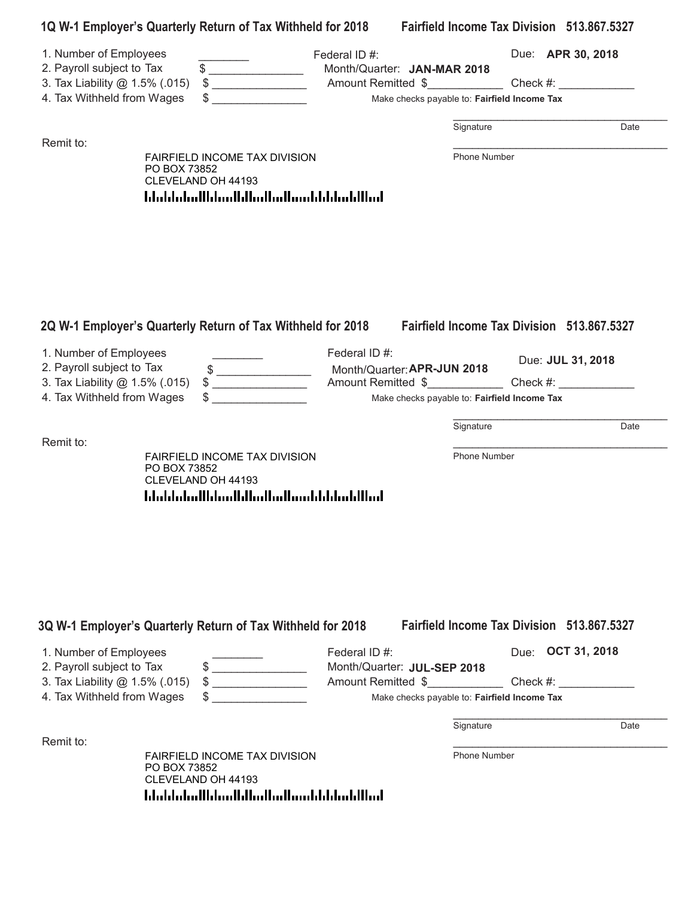|                                                                                                                     | 1Q W-1 Employer's Quarterly Return of Tax Withheld for 2018                                                            |                                                                                                                            |                           | <b>Fairfield Income Tax Division 513.867.5327</b> |
|---------------------------------------------------------------------------------------------------------------------|------------------------------------------------------------------------------------------------------------------------|----------------------------------------------------------------------------------------------------------------------------|---------------------------|---------------------------------------------------|
| 1. Number of Employees<br>2. Payroll subject to Tax<br>3. Tax Liability @ 1.5% (.015)<br>4. Tax Withheld from Wages | $\frac{1}{2}$<br>$\begin{array}{c} \updownarrow \\ \downarrow \end{array}$                                             | Federal ID#:<br>Month/Quarter: JAN-MAR 2018<br>Make checks payable to: Fairfield Income Tax                                |                           | Due: APR 30, 2018                                 |
| Remit to:                                                                                                           | <b>FAIRFIELD INCOME TAX DIVISION</b><br>PO BOX 73852<br>CLEVELAND OH 44193                                             |                                                                                                                            | Signature<br>Phone Number | Date                                              |
|                                                                                                                     | 2Q W-1 Employer's Quarterly Return of Tax Withheld for 2018                                                            |                                                                                                                            |                           | Fairfield Income Tax Division 513,867,5327        |
| 1. Number of Employees<br>2. Payroll subject to Tax<br>3. Tax Liability @ 1.5% (.015)<br>4. Tax Withheld from Wages | $\begin{array}{c c} \uparrow \end{array}$<br><u>and the community of the community</u>                                 | Federal ID#:<br>Month/Quarter: APR-JUN 2018<br>Amount Remitted \$ Check #:<br>Make checks payable to: Fairfield Income Tax |                           | Due: JUL 31, 2018                                 |
|                                                                                                                     |                                                                                                                        |                                                                                                                            | Signature                 | Date                                              |
| Remit to:                                                                                                           | FAIRFIELD INCOME TAX DIVISION<br>PO BOX 73852<br>CLEVELAND OH 44193<br><u> Idaldaladildaallilladladiaaldildadillad</u> |                                                                                                                            | Phone Number              |                                                   |
|                                                                                                                     | 3Q W-1 Employer's Quarterly Return of Tax Withheld for 2018                                                            |                                                                                                                            |                           | Fairfield Income Tax Division 513.867.5327        |
| 1. Number of Employees<br>2. Payroll subject to Tax<br>3. Tax Liability @ 1.5% (.015)<br>4. Tax Withheld from Wages | $\qquad \qquad \bullet$<br>$\qquad \qquad \$$                                                                          | Federal ID#:<br>Month/Quarter: JUL-SEP 2018<br>Amount Remitted \$<br>Make checks payable to: Fairfield Income Tax          |                           | Due: <b>OCT 31, 2018</b><br>Check #:              |
| Remit to:                                                                                                           |                                                                                                                        |                                                                                                                            | Signature                 | Date                                              |
|                                                                                                                     | <b>FAIRFIELD INCOME TAX DIVISION</b>                                                                                   |                                                                                                                            | Phone Number              |                                                   |

PO BOX 738 PO BOX 73852 CLEVELAND OH 44193